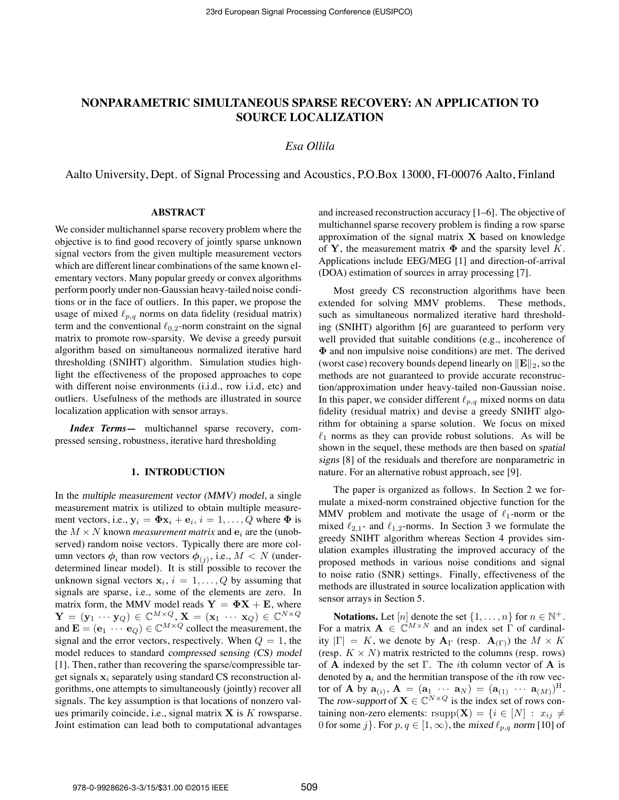# **NONPARAMETRIC SIMULTANEOUS SPARSE RECOVERY: AN APPLICATION TO SOURCE LOCALIZATION**

## *Esa Ollila*

Aalto University, Dept. of Signal Processing and Acoustics, P.O.Box 13000, FI-00076 Aalto, Finland

#### **ABSTRACT**

We consider multichannel sparse recovery problem where the objective is to find good recovery of jointly sparse unknown signal vectors from the given multiple measurement vectors which are different linear combinations of the same known elementary vectors. Many popular greedy or convex algorithms perform poorly under non-Gaussian heavy-tailed noise conditions or in the face of outliers. In this paper, we propose the usage of mixed  $\ell_{p,q}$  norms on data fidelity (residual matrix) term and the conventional  $\ell_{0,2}$ -norm constraint on the signal matrix to promote row-sparsity. We devise a greedy pursuit algorithm based on simultaneous normalized iterative hard thresholding (SNIHT) algorithm. Simulation studies highlight the effectiveness of the proposed approaches to cope with different noise environments (i.i.d., row i.i.d, etc) and outliers. Usefulness of the methods are illustrated in source localization application with sensor arrays.

*Index Terms***—** multichannel sparse recovery, compressed sensing, robustness, iterative hard thresholding

#### **1. INTRODUCTION**

In the multiple measurement vector (MMV) model, a single measurement matrix is utilized to obtain multiple measurement vectors, i.e.,  $y_i = \Phi x_i + e_i$ ,  $i = 1, ..., Q$  where  $\Phi$  is the  $M \times N$  known *measurement matrix* and  $e_i$  are the (unobserved) random noise vectors. Typically there are more column vectors  $\phi_i$  than row vectors  $\phi_{(i)}$ , i.e.,  $M < N$  (underdetermined linear model). It is still possible to recover the unknown signal vectors  $x_i$ ,  $i = 1, \ldots, Q$  by assuming that signals are sparse, i.e., some of the elements are zero. In matrix form, the MMV model reads  $Y = \Phi X + E$ , where  $\mathbf{Y} \,=\, (\mathbf{y}_1 \,\cdots\, \mathbf{y}_Q) \,\in\, \mathbb{C}^{M \times Q},\, \mathbf{X} \,=\, (\mathbf{x}_1 \,\, \cdots \,\, \mathbf{x}_Q) \,\in\, \mathbb{C}^{N \times Q}$ and  $\mathbf{E} = (\mathbf{e}_1 \cdots \mathbf{e}_Q) \in \mathbb{C}^{M \times Q}$  collect the measurement, the signal and the error vectors, respectively. When  $Q = 1$ , the model reduces to standard compressed sensing (CS) model [1]. Then, rather than recovering the sparse/compressible target signals  $x_i$  separately using standard CS reconstruction algorithms, one attempts to simultaneously (jointly) recover all signals. The key assumption is that locations of nonzero values primarily coincide, i.e., signal matrix  $X$  is  $K$  rowsparse. Joint estimation can lead both to computational advantages and increased reconstruction accuracy [1–6]. The objective of multichannel sparse recovery problem is finding a row sparse approximation of the signal matrix  $X$  based on knowledge of Y, the measurement matrix  $\Phi$  and the sparsity level K. Applications include EEG/MEG [1] and direction-of-arrival (DOA) estimation of sources in array processing [7].

Most greedy CS reconstruction algorithms have been extended for solving MMV problems. These methods, such as simultaneous normalized iterative hard thresholding (SNIHT) algorithm [6] are guaranteed to perform very well provided that suitable conditions (e.g., incoherence of Φ and non impulsive noise conditions) are met. The derived (worst case) recovery bounds depend linearly on  $\|\mathbf{E}\|_2$ , so the methods are not guaranteed to provide accurate reconstruction/approximation under heavy-tailed non-Gaussian noise. In this paper, we consider different  $\ell_{p,q}$  mixed norms on data fidelity (residual matrix) and devise a greedy SNIHT algorithm for obtaining a sparse solution. We focus on mixed  $\ell_1$  norms as they can provide robust solutions. As will be shown in the sequel, these methods are then based on spatial signs [8] of the residuals and therefore are nonparametric in nature. For an alternative robust approach, see [9].

The paper is organized as follows. In Section 2 we formulate a mixed-norm constrained objective function for the MMV problem and motivate the usage of  $\ell_1$ -norm or the mixed  $\ell_{2,1}$ - and  $\ell_{1,2}$ -norms. In Section 3 we formulate the greedy SNIHT algorithm whereas Section 4 provides simulation examples illustrating the improved accuracy of the proposed methods in various noise conditions and signal to noise ratio (SNR) settings. Finally, effectiveness of the methods are illustrated in source localization application with sensor arrays in Section 5.

**Notations.** Let  $[n]$  denote the set  $\{1, \ldots, n\}$  for  $n \in \mathbb{N}^+$ . For a matrix  $\mathbf{A} \in \mathbb{C}^{M \times N}$  and an index set  $\Gamma$  of cardinality  $|\Gamma| = K$ , we denote by  ${\bf A}_{\Gamma}$  (resp.  ${\bf A}_{(\Gamma)}$ ) the  $M \times K$ (resp.  $K \times N$ ) matrix restricted to the columns (resp. rows) of A indexed by the set  $\Gamma$ . The *i*th column vector of A is denoted by  $a_i$  and the hermitian transpose of the *i*th row vector of **A** by  $\mathbf{a}_{(i)}$ ,  $\mathbf{A} = (\mathbf{a}_1 \cdots \mathbf{a}_N) = (\mathbf{a}_{(1)} \cdots \mathbf{a}_{(M)})^{\text{H}}$ . The row-support of  $X \in \mathbb{C}^{N \times Q}$  is the index set of rows containing non-zero elements: rsupp( $X$ ) = { $i \in [N] : x_{ij} \neq$ 0 for some j. For  $p, q \in [1, \infty)$ , the mixed  $\ell_{p,q}$  norm [10] of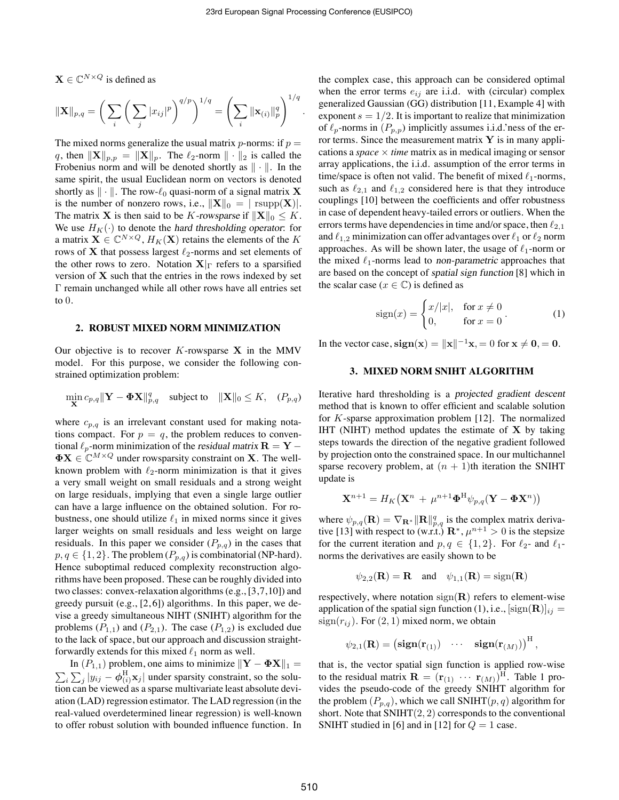.

 $\mathbf{X} \in \mathbb{C}^{N \times Q}$  is defined as

$$
\|\mathbf{X}\|_{p,q} = \bigg(\sum_{i} \bigg(\sum_{j} |x_{ij}|^p\bigg)^{q/p}\bigg)^{1/q} = \bigg(\sum_{i} \|\mathbf{x}_{(i)}\|_p^q\bigg)^{1/q}
$$

The mixed norms generalize the usual matrix *p*-norms: if  $p =$ q, then  $||\mathbf{X}||_{p,p} = ||\mathbf{X}||_p$ . The  $\ell_2$ -norm  $|| \cdot ||_2$  is called the Frobenius norm and will be denoted shortly as  $\|\cdot\|$ . In the same spirit, the usual Euclidean norm on vectors is denoted shortly as  $\|\cdot\|$ . The row- $\ell_0$  quasi-norm of a signal matrix **X** is the number of nonzero rows, i.e.,  $||\mathbf{X}||_0 = |\text{rsupp}(\mathbf{X})|$ . The matrix **X** is then said to be K-rowsparse if  $||\mathbf{X}||_0 \leq K$ . We use  $H_K(\cdot)$  to denote the hard thresholding operator: for a matrix  $\mathbf{X} \in \mathbb{C}^{N \times Q}$ ,  $H_K(\mathbf{X})$  retains the elements of the K rows of  $X$  that possess largest  $\ell_2$ -norms and set elements of the other rows to zero. Notation  $X|_{\Gamma}$  refers to a sparsified version of  $X$  such that the entries in the rows indexed by set Γ remain unchanged while all other rows have all entries set to  $0$ .

#### **2. ROBUST MIXED NORM MINIMIZATION**

Our objective is to recover  $K$ -rowsparse  $X$  in the MMV model. For this purpose, we consider the following constrained optimization problem:

$$
\min_{\mathbf{X}} c_{p,q} \|\mathbf{Y} - \mathbf{\Phi} \mathbf{X}\|_{p,q}^q \quad \text{subject to} \quad \|\mathbf{X}\|_0 \le K, \quad (P_{p,q})
$$

where  $c_{p,q}$  is an irrelevant constant used for making notations compact. For  $p = q$ , the problem reduces to conventional  $\ell_p$ -norm minimization of the residual matrix  $\mathbf{R} = \mathbf{Y} \mathbf{\Phi} \mathbf{X} \in \mathbb{C}^{M \times Q}$  under rowsparsity constraint on **X**. The wellknown problem with  $\ell_2$ -norm minimization is that it gives a very small weight on small residuals and a strong weight on large residuals, implying that even a single large outlier can have a large influence on the obtained solution. For robustness, one should utilize  $\ell_1$  in mixed norms since it gives larger weights on small residuals and less weight on large residuals. In this paper we consider  $(P_{p,q})$  in the cases that  $p, q \in \{1, 2\}$ . The problem  $(P_{p,q})$  is combinatorial (NP-hard). Hence suboptimal reduced complexity reconstruction algorithms have been proposed. These can be roughly divided into two classes: convex-relaxation algorithms (e.g., [3,7,10]) and greedy pursuit (e.g., [2, 6]) algorithms. In this paper, we devise a greedy simultaneous NIHT (SNIHT) algorithm for the problems  $(P_{1,1})$  and  $(P_{2,1})$ . The case  $(P_{1,2})$  is excluded due to the lack of space, but our approach and discussion straightforwardly extends for this mixed  $\ell_1$  norm as well.

In  $(P_{1,1})$  problem, one aims to minimize  $||\mathbf{Y} - \mathbf{\Phi} \mathbf{X}||_1 =$  $\sum_i \sum_j |y_{ij} - \phi_{(i)}^{\text{H}} \mathbf{x}_j|$  under sparsity constraint, so the solution can be viewed as a sparse multivariate least absolute deviation (LAD) regression estimator. The LAD regression (in the real-valued overdetermined linear regression) is well-known to offer robust solution with bounded influence function. In

the complex case, this approach can be considered optimal when the error terms  $e_{ij}$  are i.i.d. with (circular) complex generalized Gaussian (GG) distribution [11, Example 4] with exponent  $s = 1/2$ . It is important to realize that minimization of  $\ell_p$ -norms in  $(P_{p,p})$  implicitly assumes i.i.d.'ness of the error terms. Since the measurement matrix  $\bf{Y}$  is in many applications a *space*  $\times$  *time* matrix as in medical imaging or sensor array applications, the i.i.d. assumption of the error terms in time/space is often not valid. The benefit of mixed  $\ell_1$ -norms, such as  $\ell_{2,1}$  and  $\ell_{1,2}$  considered here is that they introduce couplings [10] between the coefficients and offer robustness in case of dependent heavy-tailed errors or outliers. When the errors terms have dependencies in time and/or space, then  $\ell_{2,1}$ and  $\ell_{1,2}$  minimization can offer advantages over  $\ell_1$  or  $\ell_2$  norm approaches. As will be shown later, the usage of  $\ell_1$ -norm or the mixed  $\ell_1$ -norms lead to non-parametric approaches that are based on the concept of spatial sign function [8] which in the scalar case ( $x \in \mathbb{C}$ ) is defined as

$$
sign(x) = \begin{cases} x/|x|, & \text{for } x \neq 0 \\ 0, & \text{for } x = 0 \end{cases} (1)
$$

In the vector case,  $sign(x) = ||x||^{-1}x = 0$  for  $x \neq 0, = 0$ .

### **3. MIXED NORM SNIHT ALGORITHM**

Iterative hard thresholding is a projected gradient descent method that is known to offer efficient and scalable solution for K-sparse approximation problem [12]. The normalized IHT (NIHT) method updates the estimate of  $X$  by taking steps towards the direction of the negative gradient followed by projection onto the constrained space. In our multichannel sparse recovery problem, at  $(n + 1)$ th iteration the SNIHT update is

$$
\mathbf{X}^{n+1} = H_K\big(\mathbf{X}^n\,+\,\mu^{n+1}\boldsymbol{\Phi}^\mathrm{H}\psi_{p,q}(\mathbf{Y}-\boldsymbol{\Phi}\mathbf{X}^n)\big)
$$

where  $\psi_{p,q}(\mathbf{R}) = \nabla_{\mathbf{R}^*} ||\mathbf{R}||_{p,q}^q$  is the complex matrix derivative [13] with respect to (w.r.t.)  $\mathbf{R}^*, \mu^{n+1} > 0$  is the stepsize for the current iteration and  $p, q \in \{1, 2\}$ . For  $\ell_{2}$ - and  $\ell_{1}$ norms the derivatives are easily shown to be

$$
\psi_{2,2}(\mathbf{R}) = \mathbf{R}
$$
 and  $\psi_{1,1}(\mathbf{R}) = \text{sign}(\mathbf{R})$ 

respectively, where notation  $sign(R)$  refers to element-wise application of the spatial sign function (1), i.e.,  $[\text{sign}(\mathbf{R})]_{ij} =$  $sign(r_{ij})$ . For  $(2, 1)$  mixed norm, we obtain

$$
\psi_{2,1}({\bf R}) = \begin{pmatrix} \mathbf{sign}(\mathbf{r}_{(1)}) & \cdots & \mathbf{sign}(\mathbf{r}_{(M)}) \end{pmatrix}^{\mathrm{H}},
$$

that is, the vector spatial sign function is applied row-wise to the residual matrix  $\mathbf{R} = (\mathbf{r}_{(1)} \cdots \mathbf{r}_{(M)})^{\text{H}}$ . Table 1 provides the pseudo-code of the greedy SNIHT algorithm for the problem  $(P_{p,q})$ , which we call SNIHT $(p,q)$  algorithm for short. Note that  $SNIHT(2, 2)$  corresponds to the conventional SNIHT studied in [6] and in [12] for  $Q = 1$  case.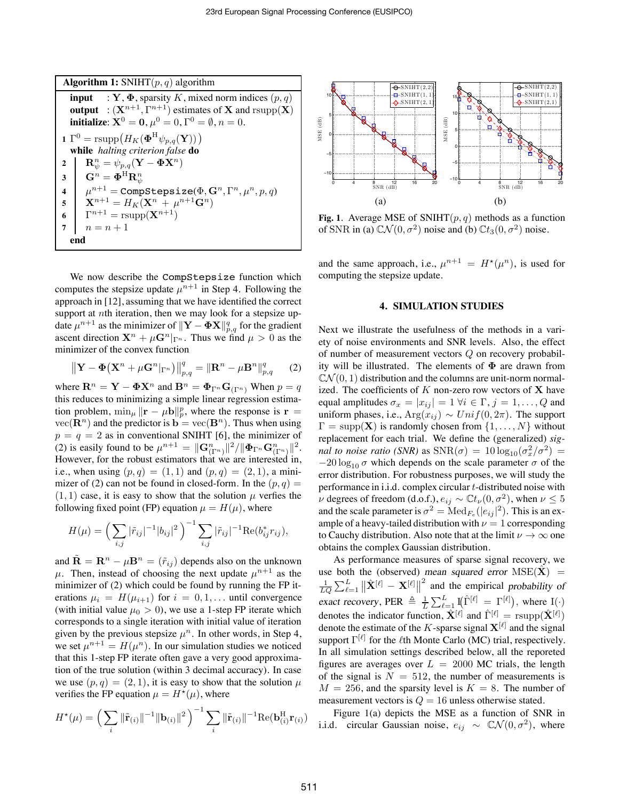| <b>Algorithm 1:</b> SNIHT $(p, q)$ algorithm                                                                                                                                                                                             |  |  |  |  |  |
|------------------------------------------------------------------------------------------------------------------------------------------------------------------------------------------------------------------------------------------|--|--|--|--|--|
| <b>input</b> : Y, $\Phi$ , sparsity K, mixed norm indices $(p, q)$<br><b>output</b> : $(X^{n+1}, \Gamma^{n+1})$ estimates of <b>X</b> and rsupp $(X)$<br><b>initialize:</b> $X^0 = 0$ , $\mu^0 = 0$ , $\Gamma^0 = \emptyset$ , $n = 0$ . |  |  |  |  |  |
| 1 $\Gamma^0$ = rsupp $(H_K(\Phi^H \psi_{p,q}(\mathbf{Y})))$                                                                                                                                                                              |  |  |  |  |  |
| while halting criterion false do                                                                                                                                                                                                         |  |  |  |  |  |
| $\mathbf{R}_{\psi}^n = \psi_{p,q}(\mathbf{Y} - \mathbf{\Phi} \mathbf{X}^n)$<br>2                                                                                                                                                         |  |  |  |  |  |
| $\mathbf{G}^n = \mathbf{\Phi}^{\mathrm{H}} \mathbf{R}^n_{ab}$<br>3                                                                                                                                                                       |  |  |  |  |  |
| $\mu^{n+1} = \text{Complex} \cdot \text{Log} \cdot \text{Log} \cdot (\Phi, \mathbf{G}^n, \Gamma^n, \mu^n, p, q)$<br>$\overline{\mathbf{4}}$                                                                                              |  |  |  |  |  |
| $X^{n+1} = H_K({\bf X}^n + \mu^{n+1}{\bf G}^n)$<br>5                                                                                                                                                                                     |  |  |  |  |  |
| $\Gamma^{n+1} = \text{rsupp}(\mathbf{X}^{n+1})$<br>6                                                                                                                                                                                     |  |  |  |  |  |
| $n = n + 1$<br>7                                                                                                                                                                                                                         |  |  |  |  |  |
| end                                                                                                                                                                                                                                      |  |  |  |  |  |

We now describe the CompStepsize function which computes the stepsize update  $\mu^{n+1}$  in Step 4. Following the approach in [12], assuming that we have identified the correct support at *nth* iteration, then we may look for a stepsize update  $\mu^{n+1}$  as the minimizer of  $\|\mathbf{Y} - \mathbf{\Phi} \mathbf{X}\|_{p,q}^q$  for the gradient ascent direction  ${\bf X}^n + \mu {\bf G}^n|_{\Gamma^n}$ . Thus we find  $\mu > 0$  as the minimizer of the convex function

$$
\left\|\mathbf{Y}-\mathbf{\Phi}\left(\mathbf{X}^{n}+\mu\mathbf{G}^{n}|_{\Gamma^{n}}\right)\right\|_{p,q}^{q}=\left\|\mathbf{R}^{n}-\mu\mathbf{B}^{n}\right\|_{p,q}^{q}
$$
 (2)

where  $\mathbf{R}^n = \mathbf{Y} - \mathbf{\Phi} \mathbf{X}^n$  and  $\mathbf{B}^n = \mathbf{\Phi}_{\Gamma^n} \mathbf{G}_{(\Gamma^n)}$  When  $p = q$ this reduces to minimizing a simple linear regression estimation problem,  $\min_{\mu} ||\mathbf{r} - \mu \mathbf{b}||_p^p$ , where the response is  $\mathbf{r} =$  $vec(\mathbf{R}^n)$  and the predictor is  $\mathbf{b} = \text{vec}(\mathbf{B}^n)$ . Thus when using  $p = q = 2$  as in conventional SNIHT [6], the minimizer of (2) is easily found to be  $\mu^{n+1} = \|\mathbf{G}^n_{(\Gamma^n)}\|^2 / \|\mathbf{\Phi}_{\Gamma^n}\mathbf{G}^n_{(\Gamma^n)}\|^2.$ However, for the robust estimators that we are interested in, i.e., when using  $(p, q) = (1, 1)$  and  $(p, q) = (2, 1)$ , a minimizer of (2) can not be found in closed-form. In the  $(p, q)$  =  $(1, 1)$  case, it is easy to show that the solution  $\mu$  verfies the following fixed point (FP) equation  $\mu = H(\mu)$ , where

$$
H(\mu) = \left(\sum_{i,j} |\tilde{r}_{ij}|^{-1} |b_{ij}|^2\right)^{-1} \sum_{i,j} |\tilde{r}_{ij}|^{-1} \text{Re}(b_{ij}^* r_{ij}),
$$

and  $\tilde{\mathbf{R}} = \mathbf{R}^n - \mu \mathbf{B}^n = (\tilde{r}_{ij})$  depends also on the unknown  $\mu$ . Then, instead of choosing the next update  $\mu^{n+1}$  as the minimizer of (2) which could be found by running the FP iterations  $\mu_i = H(\mu_{i+1})$  for  $i = 0, 1, \dots$  until convergence (with initial value  $\mu_0 > 0$ ), we use a 1-step FP iterate which corresponds to a single iteration with initial value of iteration given by the previous stepsize  $\mu^n$ . In other words, in Step 4, we set  $\mu^{n+1} = H(\mu^n)$ . In our simulation studies we noticed that this 1-step FP iterate often gave a very good approximation of the true solution (within 3 decimal accuracy). In case we use  $(p, q) = (2, 1)$ , it is easy to show that the solution  $\mu$ verifies the FP equation  $\mu = H^*(\mu)$ , where

$$
H^{\star}(\mu) = \left(\sum_{i} \|\tilde{\mathbf{r}}_{(i)}\|^{-1} \|\mathbf{b}_{(i)}\|^2\right)^{-1} \sum_{i} \|\tilde{\mathbf{r}}_{(i)}\|^{-1} \text{Re}(\mathbf{b}_{(i)}^{\text{H}} \mathbf{r}_{(i)})
$$



**Fig. 1.** Average MSE of SNIHT $(p, q)$  methods as a function of SNR in (a)  $\mathbb{C}\mathcal{N}(0, \sigma^2)$  noise and (b)  $\mathbb{C}t_3(0, \sigma^2)$  noise.

and the same approach, i.e.,  $\mu^{n+1} = H^*(\mu^n)$ , is used for computing the stepsize update.

#### **4. SIMULATION STUDIES**

Next we illustrate the usefulness of the methods in a variety of noise environments and SNR levels. Also, the effect of number of measurement vectors Q on recovery probability will be illustrated. The elements of  $\Phi$  are drawn from  $\mathbb{C}\mathcal{N}(0,1)$  distribution and the columns are unit-norm normalized. The coefficients of  $K$  non-zero row vectors of  $X$  have equal amplitudes  $\sigma_x = |x_{ij}| = 1 \ \forall i \in \Gamma, j = 1, \ldots, Q$  and uniform phases, i.e.,  $\text{Arg}(x_{ij}) \sim Unif(0, 2\pi)$ . The support  $\Gamma = \text{supp}(\mathbf{X})$  is randomly chosen from  $\{1, \ldots, N\}$  without replacement for each trial. We define the (generalized) *signal to noise ratio (SNR)* as  $SNR(\sigma) = 10 \log_{10}(\sigma_x^2/\sigma^2)$  =  $-20 \log_{10} \sigma$  which depends on the scale parameter  $\sigma$  of the error distribution. For robustness purposes, we will study the performance in i.i.d. complex circular t-distributed noise with  $ν$  degrees of freedom (d.o.f.),  $e_{ij}$  ~  $\mathbb{C}t_{ν}(0, σ^2)$ , when  $ν ≤ 5$ and the scale parameter is  $\sigma^2 = \text{Med}_{F_e}(|e_{ij}|^2)$ . This is an example of a heavy-tailed distribution with  $\nu = 1$  corresponding to Cauchy distribution. Also note that at the limit  $\nu \to \infty$  one obtains the complex Gaussian distribution.

As performance measures of sparse signal recovery, we use both the (observed) mean squared error  $MSE(\hat{X})$  =  $\frac{1}{LQ}\sum_{\ell=1}^{L} \left\|\hat{\mathbf{X}}^{[\ell]} - \mathbf{X}^{[\ell]}\right\|^2$  and the empirical probability of exact recovery, PER  $\triangleq \frac{1}{L} \sum_{\ell=1}^{L} I(\hat{\Gamma}^{[\ell]} = \Gamma^{[\ell]}),$  where  $I(\cdot)$ denotes the indicator function,  $\hat{\mathbf{X}}^{[\ell]}$  and  $\hat{\Gamma}^{[\ell]} = \text{rsupp}(\hat{\mathbf{X}}^{[\ell]})$ denote the estimate of the K-sparse signal  $X^{[\ell]}$  and the signal support  $\Gamma^{[\ell]}$  for the  $\ell$ th Monte Carlo (MC) trial, respectively. In all simulation settings described below, all the reporeted figures are averages over  $L = 2000$  MC trials, the length of the signal is  $N = 512$ , the number of measurements is  $M = 256$ , and the sparsity level is  $K = 8$ . The number of measurement vectors is  $Q = 16$  unless otherwise stated.

Figure 1(a) depicts the MSE as a function of SNR in i.i.d. circular Gaussian noise,  $e_{ij} \sim \mathbb{C} \mathcal{N}(0, \sigma^2)$ , where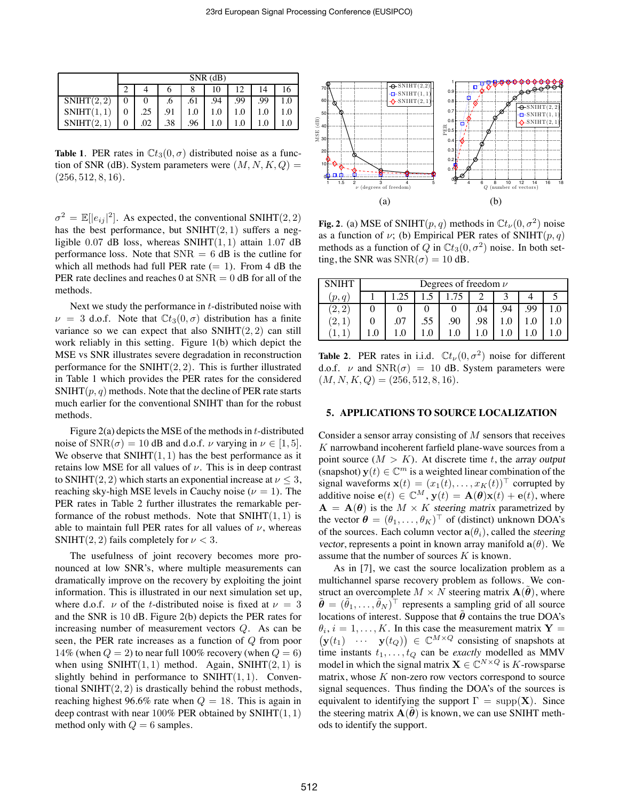|            | $SNR$ (dB) |     |     |     |     |     |     |  |  |
|------------|------------|-----|-----|-----|-----|-----|-----|--|--|
|            |            |     |     |     | 10  |     | 14  |  |  |
| SNIHT(2,2) |            |     | .6  | .61 | .94 | .99 | .99 |  |  |
| SNIHT(1,1) |            | .25 | .91 |     | 1.0 |     |     |  |  |
| SNIHT(2,   |            | .02 | .38 | .96 | 1.0 |     |     |  |  |

**Table 1.** PER rates in  $\mathbb{C}t_3(0,\sigma)$  distributed noise as a function of SNR (dB). System parameters were  $(M, N, K, Q)$  =  $(256, 512, 8, 16).$ 

 $\sigma^2 = \mathbb{E}[|e_{ij}|^2]$ . As expected, the conventional SNIHT(2, 2) has the best performance, but  $SNIHT(2, 1)$  suffers a negligible 0.07 dB loss, whereas  $SNIHT(1, 1)$  attain 1.07 dB performance loss. Note that  $SNR = 6$  dB is the cutline for which all methods had full PER rate  $(= 1)$ . From 4 dB the PER rate declines and reaches 0 at  $SNR = 0$  dB for all of the methods.

Next we study the performance in  $t$ -distributed noise with  $\nu = 3$  d.o.f. Note that  $C_{3}(0, \sigma)$  distribution has a finite variance so we can expect that also  $SNIHT(2, 2)$  can still work reliably in this setting. Figure 1(b) which depict the MSE vs SNR illustrates severe degradation in reconstruction performance for the  $SNIHT(2, 2)$ . This is further illustrated in Table 1 which provides the PER rates for the considered  $SNIHT(p, q)$  methods. Note that the decline of PER rate starts much earlier for the conventional SNIHT than for the robust methods.

Figure  $2(a)$  depicts the MSE of the methods in t-distributed noise of  $SNR(\sigma) = 10$  dB and d.o.f.  $\nu$  varying in  $\nu \in [1, 5]$ . We observe that  $SNIHT(1, 1)$  has the best performance as it retains low MSE for all values of  $\nu$ . This is in deep contrast to SNIHT(2, 2) which starts an exponential increase at  $\nu \leq 3$ , reaching sky-high MSE levels in Cauchy noise ( $\nu = 1$ ). The PER rates in Table 2 further illustrates the remarkable performance of the robust methods. Note that  $SNIHT(1, 1)$  is able to maintain full PER rates for all values of  $\nu$ , whereas SNIHT(2, 2) fails completely for  $\nu < 3$ .

The usefulness of joint recovery becomes more pronounced at low SNR's, where multiple measurements can dramatically improve on the recovery by exploiting the joint information. This is illustrated in our next simulation set up, where d.o.f.  $\nu$  of the t-distributed noise is fixed at  $\nu = 3$ and the SNR is 10 dB. Figure 2(b) depicts the PER rates for increasing number of measurement vectors Q. As can be seen, the PER rate increases as a function of Q from poor 14% (when  $Q = 2$ ) to near full 100% recovery (when  $Q = 6$ ) when using  $SNIHT(1, 1)$  method. Again,  $SNIHT(2, 1)$  is slightly behind in performance to  $SNIHT(1, 1)$ . Conventional SNIHT $(2, 2)$  is drastically behind the robust methods, reaching highest 96.6% rate when  $Q = 18$ . This is again in deep contrast with near  $100\%$  PER obtained by SNIHT $(1, 1)$ method only with  $Q = 6$  samples.



**Fig. 2**. (a) MSE of SNIHT(p, q) methods in  $\mathbb{C}t_{\nu}(0, \sigma^2)$  noise as a function of  $\nu$ ; (b) Empirical PER rates of SNIHT(p, q) methods as a function of Q in  $\mathbb{C}t_3(0, \sigma^2)$  noise. In both setting, the SNR was  $SNR(\sigma) = 10$  dB.

| <b>SNIHT</b> | Degrees of freedom $\nu$ |     |     |     |     |     |     |     |  |  |
|--------------|--------------------------|-----|-----|-----|-----|-----|-----|-----|--|--|
| (p, q)       |                          |     |     |     |     |     |     |     |  |  |
| 2<br>2.      |                          |     |     |     |     | .94 | .99 |     |  |  |
| 2.           |                          | .07 | .55 | .90 | .98 |     |     | 1.0 |  |  |
|              | 1.0                      | 10  |     | 1.0 |     |     |     |     |  |  |

**Table 2.** PER rates in i.i.d.  $\mathbb{C}t_{\nu}(0, \sigma^2)$  noise for different d.o.f.  $\nu$  and  $SNR(\sigma) = 10$  dB. System parameters were  $(M, N, K, Q) = (256, 512, 8, 16).$ 

#### **5. APPLICATIONS TO SOURCE LOCALIZATION**

Consider a sensor array consisting of  $M$  sensors that receives K narrowband incoherent farfield plane-wave sources from a point source  $(M > K)$ . At discrete time t, the array output (snapshot)  $y(t) \in \mathbb{C}^m$  is a weighted linear combination of the signal waveforms  $\mathbf{x}(t)=(x_1(t),\ldots,x_K(t))^{\top}$  corrupted by additive noise  $e(t) \in \mathbb{C}^M$ ,  $y(t) = A(\theta)x(t) + e(t)$ , where  $A = A(\theta)$  is the  $M \times K$  steering matrix parametrized by the vector  $\boldsymbol{\theta} = (\theta_1, \dots, \theta_K)^\top$  of (distinct) unknown DOA's of the sources. Each column vector  $\mathbf{a}(\theta_i)$ , called the steering vector, represents a point in known array manifold  $\mathbf{a}(\theta)$ . We assume that the number of sources  $K$  is known.

As in [7], we cast the source localization problem as a multichannel sparse recovery problem as follows. We construct an overcomplete  $M \times N$  steering matrix  $A(\theta)$ , where  $\tilde{\boldsymbol{\theta}} = (\tilde{\theta}_1, \dots, \tilde{\theta}_N)^\top$  represents a sampling grid of all source locations of interest. Suppose that  $\hat{\theta}$  contains the true DOA's  $\theta_i$ ,  $i = 1, \ldots, K$ . In this case the measurement matrix  $Y =$  $(\mathbf{y}(t_1) \quad \cdots \quad \mathbf{y}(t_Q)) \in \mathbb{C}^{M \times Q}$  consisting of snapshots at time instants  $t_1, \ldots, t_Q$  can be *exactly* modelled as MMV model in which the signal matrix  $\mathbf{X} \in \mathbb{C}^{N \times Q}$  is K-rowsparse matrix, whose  $K$  non-zero row vectors correspond to source signal sequences. Thus finding the DOA's of the sources is equivalent to identifying the support  $\Gamma = \text{supp}(\mathbf{X})$ . Since the steering matrix  $A(\theta)$  is known, we can use SNIHT methods to identify the support.